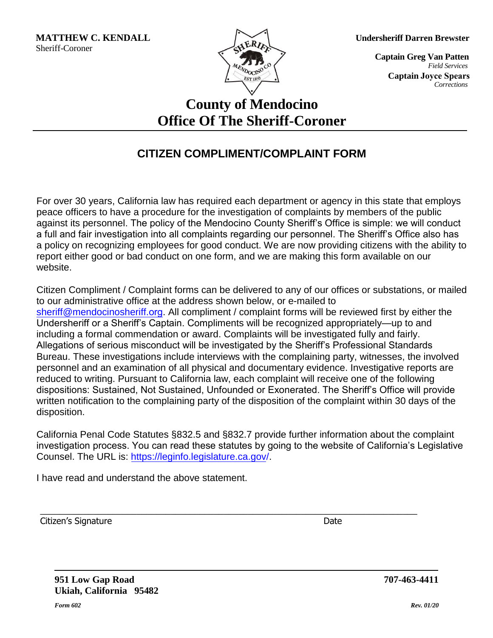

**Undersheriff Darren Brewster**

 *Corrections*  **Captain Joyce Spears**  *Field Services*  **Captain Greg Van Patten**

## **County of Mendocino Office Of The Sheriff-Coroner**

## **CITIZEN COMPLIMENT/COMPLAINT FORM**

For over 30 years, California law has required each department or agency in this state that employs peace officers to have a procedure for the investigation of complaints by members of the public against its personnel. The policy of the Mendocino County Sheriff's Office is simple: we will conduct a full and fair investigation into all complaints regarding our personnel. The Sheriff's Office also has a policy on recognizing employees for good conduct. We are now providing citizens with the ability to report either good or bad conduct on one form, and we are making this form available on our website.

Citizen Compliment / Complaint forms can be delivered to any of our offices or substations, or mailed to our administrative office at the address shown below, or e-mailed to [sheriff@mendocinosheriff.](mailto:sheriff@mendocinosheriff.com)org. All compliment / complaint forms will be reviewed first by either the Undersheriff or a Sheriff's Captain. Compliments will be recognized appropriately—up to and including a formal commendation or award. Complaints will be investigated fully and fairly. Allegations of serious misconduct will be investigated by the Sheriff's Professional Standards Bureau. These investigations include interviews with the complaining party, witnesses, the involved personnel and an examination of all physical and documentary evidence. Investigative reports are reduced to writing. Pursuant to California law, each complaint will receive one of the following dispositions: Sustained, Not Sustained, Unfounded or Exonerated. The Sheriff's Office will provide written notification to the complaining party of the disposition of the complaint within 30 days of the disposition.

California Penal Code Statutes §832.5 and §832.7 provide further information about the complaint investigation process. You can read these statutes by going to the website of California's Legislative Counsel. The URL is: [https://leginfo.legislature.ca.gov/.](http://www.leginfo.ca.gov/calaw.html)

\_\_\_\_\_\_\_\_\_\_\_\_\_\_\_\_\_\_\_\_\_\_\_\_\_\_\_\_\_\_\_\_\_\_\_\_\_\_\_\_\_\_\_\_\_\_\_\_\_\_\_\_\_\_\_\_\_\_\_\_\_\_\_\_\_\_\_\_\_\_\_\_\_\_\_\_\_\_

I have read and understand the above statement.

Citizen's Signature Date Citizen's Signature Date Date Citizen's Signature Date Date

**951 Low Gap Road Ukiah, California 95482**

**707-463-4411**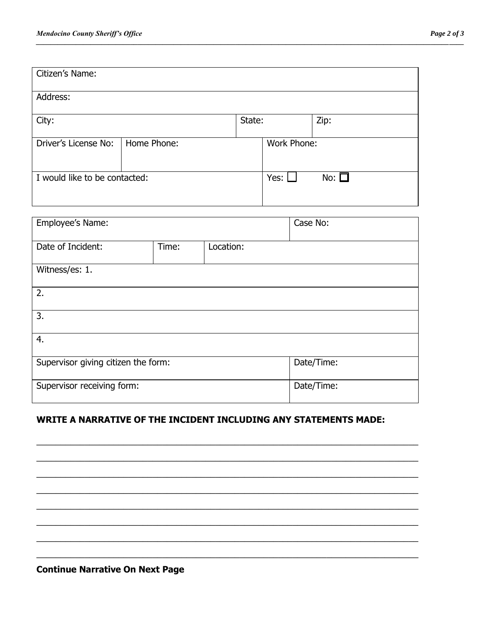| Citizen's Name:               |             |        |             |               |
|-------------------------------|-------------|--------|-------------|---------------|
| Address:                      |             |        |             |               |
| City:                         |             | State: |             | Zip:          |
| Driver's License No:          | Home Phone: |        | Work Phone: |               |
| I would like to be contacted: |             |        | Yes:        | No: $\square$ |

*\_\_\_\_\_\_\_\_\_\_\_\_\_\_\_\_\_\_\_\_\_\_\_\_\_\_\_\_\_\_\_\_\_\_\_\_\_\_\_\_\_\_\_\_\_\_\_\_\_\_\_\_\_\_\_\_\_\_\_\_\_\_\_\_\_\_\_\_\_\_\_\_\_\_\_\_\_\_\_\_\_\_\_\_\_\_\_\_\_\_\_\_\_\_\_\_\_\_\_\_\_\_\_\_\_\_\_\_\_\_\_\_\_\_\_\_\_\_* 

| Employee's Name:                    |       | Case No:  |            |  |  |
|-------------------------------------|-------|-----------|------------|--|--|
| Date of Incident:                   | Time: | Location: |            |  |  |
| Witness/es: 1.                      |       |           |            |  |  |
| 2.                                  |       |           |            |  |  |
| 3.                                  |       |           |            |  |  |
| 4.                                  |       |           |            |  |  |
| Supervisor giving citizen the form: |       |           | Date/Time: |  |  |
| Supervisor receiving form:          |       |           | Date/Time: |  |  |

## **WRITE A NARRATIVE OF THE INCIDENT INCLUDING ANY STATEMENTS MADE:**

 $\_$  , and the set of the set of the set of the set of the set of the set of the set of the set of the set of the set of the set of the set of the set of the set of the set of the set of the set of the set of the set of th  $\_$  , and the set of the set of the set of the set of the set of the set of the set of the set of the set of the set of the set of the set of the set of the set of the set of the set of the set of the set of the set of th  $\_$  , and the set of the set of the set of the set of the set of the set of the set of the set of the set of the set of the set of the set of the set of the set of the set of the set of the set of the set of the set of th  $\_$  ,  $\_$  ,  $\_$  ,  $\_$  ,  $\_$  ,  $\_$  ,  $\_$  ,  $\_$  ,  $\_$  ,  $\_$  ,  $\_$  ,  $\_$  ,  $\_$  ,  $\_$  ,  $\_$  ,  $\_$  ,  $\_$  ,  $\_$  ,  $\_$  ,  $\_$  ,  $\_$  ,  $\_$  ,  $\_$  ,  $\_$  ,  $\_$  ,  $\_$  ,  $\_$  ,  $\_$  ,  $\_$  ,  $\_$  ,  $\_$  ,  $\_$  ,  $\_$  ,  $\_$  ,  $\_$  ,  $\_$  ,  $\_$  ,  $\_$  , and the set of the set of the set of the set of the set of the set of the set of the set of the set of the set of the set of the set of the set of the set of the set of the set of the set of the set of the set of th  $\_$  ,  $\_$  ,  $\_$  ,  $\_$  ,  $\_$  ,  $\_$  ,  $\_$  ,  $\_$  ,  $\_$  ,  $\_$  ,  $\_$  ,  $\_$  ,  $\_$  ,  $\_$  ,  $\_$  ,  $\_$  ,  $\_$  ,  $\_$  ,  $\_$  ,  $\_$  ,  $\_$  ,  $\_$  ,  $\_$  ,  $\_$  ,  $\_$  ,  $\_$  ,  $\_$  ,  $\_$  ,  $\_$  ,  $\_$  ,  $\_$  ,  $\_$  ,  $\_$  ,  $\_$  ,  $\_$  ,  $\_$  ,  $\_$  ,  $\_$  , and the set of the set of the set of the set of the set of the set of the set of the set of the set of the set of the set of the set of the set of the set of the set of the set of the set of the set of the set of th  $\_$  , and the set of the set of the set of the set of the set of the set of the set of the set of the set of the set of the set of the set of the set of the set of the set of the set of the set of the set of the set of th

|  | <b>Continue Narrative On Next Page</b> |  |  |  |
|--|----------------------------------------|--|--|--|
|--|----------------------------------------|--|--|--|